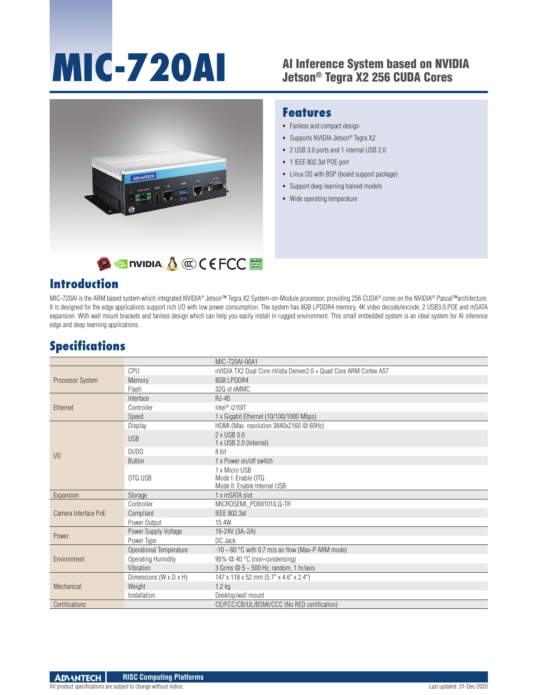# **MIC-720AI** Al Inference System based on NVIDIA

## Jetson® Tegra X2 256 CUDA Cores



#### **Features**

- Fanless and compact design
- Supports NVIDIA Jetson<sup>®</sup> Tegra X2
- 2 USB 3.0 ports and 1 internal USB 2.0
- 1 IEEE 802.3af POE port
- Linux OS with BSP (board support package)
- **Support deep learning trained models**
- Wide operating temperature

#### **Introduction**

MIC-720AI is the ARM based system which integrated NVIDIA® Jetson™ Tegra X2 System-on-Module processor, providing 256 CUDA® cores on the NVIDIA® Pascal™architecture. It is designed for the edge applications support rich I/O with low power consumption. The system has 8GB LPDDR4 memory, 4K video decode/encode, 2 USB3.0,POE and mSATA expansion. With wall mount brackets and fanless design which can help you easily install in rugged environment. This small embedded system is an ideal system for AI inference edge and deep learning applications.

#### **Specifications**

|                      |                           | MIC-720AI-00A1                                                      |
|----------------------|---------------------------|---------------------------------------------------------------------|
| Processor System     | CPU                       | nVIDIA TX2 Dual Core nVidia Denver2.0 + Quad Core ARM Cortex A57    |
|                      | Memory                    | 8GB LPDDR4                                                          |
|                      | Flash                     | 32G of eMMC                                                         |
| Ethernet             | Interface                 | $RJ-45$                                                             |
|                      | Controller                | Intel <sup>®</sup> i210IT                                           |
|                      | Speed                     | 1 x Gigabit Ethernet (10/100/1000 Mbps)                             |
| 1/0                  | Display                   | HDMI (Max. resolution 3840x2160 @ 60Hz)                             |
|                      | <b>USB</b>                | 2 x USB 3.0<br>1 x USB 2.0 (Internal)                               |
|                      | DI/DO                     | 8 bit                                                               |
|                      | <b>Button</b>             | 1 x Power on/off switch                                             |
|                      | OTG USB                   | 1 x Micro USB<br>Mode I: Enable OTG<br>Mode II: Enable Internal USB |
| Expansion            | Storage                   | 1 x mSATA slot                                                      |
|                      | Controller                | MICROSEMI_PD69101ILQ-TR                                             |
| Camera Interface PoE | Compliant                 | IEEE 802.3af                                                        |
|                      | Power Output              | 15.4W                                                               |
|                      | Power Supply Voltage      | 19-24V (3A~2A)                                                      |
| Power                | Power Type                | DC Jack                                                             |
| Environment          | Operational Temperature   | $-10 \sim 60$ °C with 0.7 m/s air flow (Max-P ARM mode)             |
|                      | <b>Operating Humidity</b> | 95% @ 40 °C (non-condensing)                                        |
|                      | Vibration                 | 3 Grms $@$ 5 ~ 500 Hz, random, 1 hr/axis                            |
| Mechanical           | Dimensions (W x D x H)    | 147 x 118 x 52 mm (5.7" x 4.6" x 2.4")                              |
|                      | Weight                    | $1.2$ kg                                                            |
|                      | Installation              | Desktop/wall mount                                                  |
| Certifications       |                           | CE/FCC/CB/UL/BSMI/CCC (No RED certification)                        |